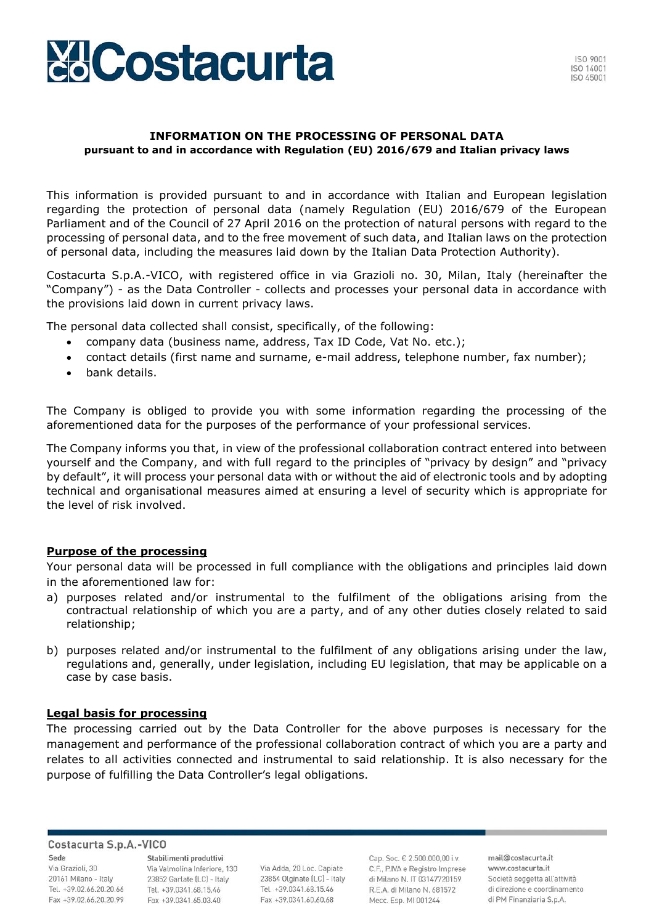

#### **INFORMATION ON THE PROCESSING OF PERSONAL DATA pursuant to and in accordance with Regulation (EU) 2016/679 and Italian privacy laws**

This information is provided pursuant to and in accordance with Italian and European legislation regarding the protection of personal data (namely Regulation (EU) 2016/679 of the European Parliament and of the Council of 27 April 2016 on the protection of natural persons with regard to the processing of personal data, and to the free movement of such data, and Italian laws on the protection of personal data, including the measures laid down by the Italian Data Protection Authority).

Costacurta S.p.A.-VICO, with registered office in via Grazioli no. 30, Milan, Italy (hereinafter the "Company") - as the Data Controller - collects and processes your personal data in accordance with the provisions laid down in current privacy laws.

The personal data collected shall consist, specifically, of the following:

- company data (business name, address, Tax ID Code, Vat No. etc.);
- contact details (first name and surname, e-mail address, telephone number, fax number);
- bank details.

The Company is obliged to provide you with some information regarding the processing of the aforementioned data for the purposes of the performance of your professional services.

The Company informs you that, in view of the professional collaboration contract entered into between yourself and the Company, and with full regard to the principles of "privacy by design" and "privacy by default", it will process your personal data with or without the aid of electronic tools and by adopting technical and organisational measures aimed at ensuring a level of security which is appropriate for the level of risk involved.

## **Purpose of the processing**

Your personal data will be processed in full compliance with the obligations and principles laid down in the aforementioned law for:

- a) purposes related and/or instrumental to the fulfilment of the obligations arising from the contractual relationship of which you are a party, and of any other duties closely related to said relationship;
- b) purposes related and/or instrumental to the fulfilment of any obligations arising under the law, regulations and, generally, under legislation, including EU legislation, that may be applicable on a case by case basis.

#### **Legal basis for processing**

The processing carried out by the Data Controller for the above purposes is necessary for the management and performance of the professional collaboration contract of which you are a party and relates to all activities connected and instrumental to said relationship. It is also necessary for the purpose of fulfilling the Data Controller's legal obligations.

#### Costacurta S.p.A.-VICO

Sede Via Grazioli, 30 20161 Milano - Italy Tel. +39.02.66.20.20.66 Fax +39.02.66.20.20.99

Stabilimenti produttivi Via Valmolina Inferiore, 130 23852 Garlate (LC) - Italy Tel. +39.0341.68.15.46 Fax +39.0341.65.03.40

Via Adda, 20 Loc. Capiate 23854 Olginate (LC) - Italy Tel. +39.0341.68.15.46 Fax +39,0341,60,60,68

Cap. Soc. € 2.500.000,00 i.v. C.F., P.IVA e Registro Imprese di Milano N. IT 03147720159 R.E.A. di Milano N. 681572 Mecc. Esp. MI 001244

mail@costacurta.it www.costacurta.it Società soggetta all'attività di direzione e coordinamento di PM Finanziaria S.p.A.